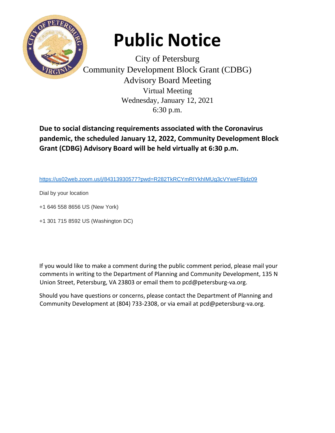

## **Public Notice**

City of Petersburg Community Development Block Grant (CDBG) Advisory Board Meeting Virtual Meeting Wednesday, January 12, 2021 6:30 p.m.

**Due to social distancing requirements associated with the Coronavirus pandemic, the scheduled January 12, 2022, Community Development Block Grant (CDBG) Advisory Board will be held virtually at 6:30 p.m.** 

[https://us02web.zoom.us/j/84313930577?pwd=R282TkRCYmRIYkhIMUg3cVYweFBjdz09](https://nam11.safelinks.protection.outlook.com/?url=https%3A%2F%2Fwww.google.com%2Furl%3Fq%3Dhttps%253A%252F%252Fus02web.zoom.us%252Fj%252F84313930577%253Fpwd%253DR282TkRCYmRIYkhIMUg3cVYweFBjdz09%26sa%3DD%26source%3Dcalendar%26usd%3D2%26usg%3DAOvVaw1O6dl9VYshQ63bZ0xihyX7&data=04%7C01%7Crtabor%40petersburg-va.org%7C224f19154dc544dd68b008d9d5e8b052%7C915d4a778211456a97a43135fb39c42a%7C0%7C0%7C637776017636876960%7CUnknown%7CTWFpbGZsb3d8eyJWIjoiMC4wLjAwMDAiLCJQIjoiV2luMzIiLCJBTiI6Ik1haWwiLCJXVCI6Mn0%3D%7C3000&sdata=Gs8OYRNh1FEztM9Q%2BI1S4iGkCtGziAxS9y9iGJui9Qw%3D&reserved=0)

Dial by your location

- +1 646 558 8656 US (New York)
- +1 301 715 8592 US (Washington DC)

If you would like to make a comment during the public comment period, please mail your comments in writing to the Department of Planning and Community Development, 135 N Union Street, Petersburg, VA 23803 or email them to pcd@petersburg-va.org.

Should you have questions or concerns, please contact the Department of Planning and Community Development at (804) 733-2308, or via email at pcd@petersburg-va.org.